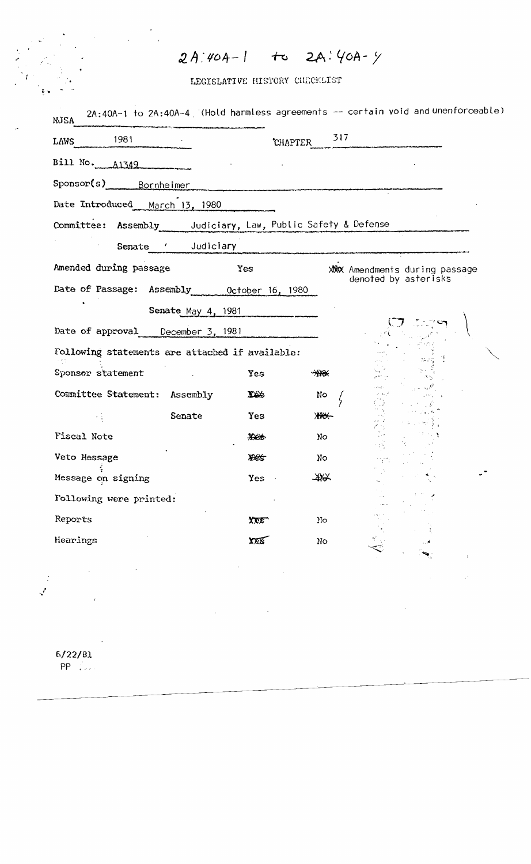## $2A:40A-1$  to  $2A:40A-9$

LEGISLATIVE HISTORY CHECKLIST

| 1981<br>LAWS                                                         |                    |               | 317<br><b>CHAPTER</b> |                                                              |  |
|----------------------------------------------------------------------|--------------------|---------------|-----------------------|--------------------------------------------------------------|--|
| Bill No. A1349                                                       |                    |               |                       |                                                              |  |
| Sponsor(s) Bornheimer                                                |                    |               |                       |                                                              |  |
| Date Introduced March 13, 1980                                       |                    |               |                       |                                                              |  |
| Committee: Assembly Judiciary, Law, Public Safety & Defense          |                    |               |                       |                                                              |  |
|                                                                      | Senate ' Judiciary |               |                       |                                                              |  |
| Amended during passage<br>Date of Passage: Assembly 0ctober 16, 1980 |                    | Yes           |                       | <b>XXX</b> Amendments during passage<br>denoted by asterisks |  |
|                                                                      | Senate May 4, 1981 |               |                       |                                                              |  |
| Date of approval December 3, 1981                                    |                    |               |                       |                                                              |  |
| Following statements are attached if available:                      |                    |               |                       |                                                              |  |
| Sponsor statement                                                    |                    | <b>Yes</b>    | $**$                  |                                                              |  |
| Committee Statement: Assembly                                        |                    | $\frac{1}{2}$ | No.                   | $\sigma = \xi_{\rm max}$                                     |  |
|                                                                      | Senate             | Yes           | <b>XXXX</b>           |                                                              |  |
| Fiscal Note                                                          |                    | $\frac{1}{2}$ | No                    |                                                              |  |
| Veto Hessage                                                         |                    | <b>XXX</b>    | No                    |                                                              |  |
| Message on signing                                                   |                    | Yes           | $*$                   |                                                              |  |
| Following were printed:                                              |                    |               |                       |                                                              |  |
| Reports                                                              |                    | XEX           | No                    |                                                              |  |
| Hearings                                                             |                    | XEX           | No                    |                                                              |  |
|                                                                      |                    |               |                       |                                                              |  |

 $6/22/81$  $PP = \frac{1}{2}$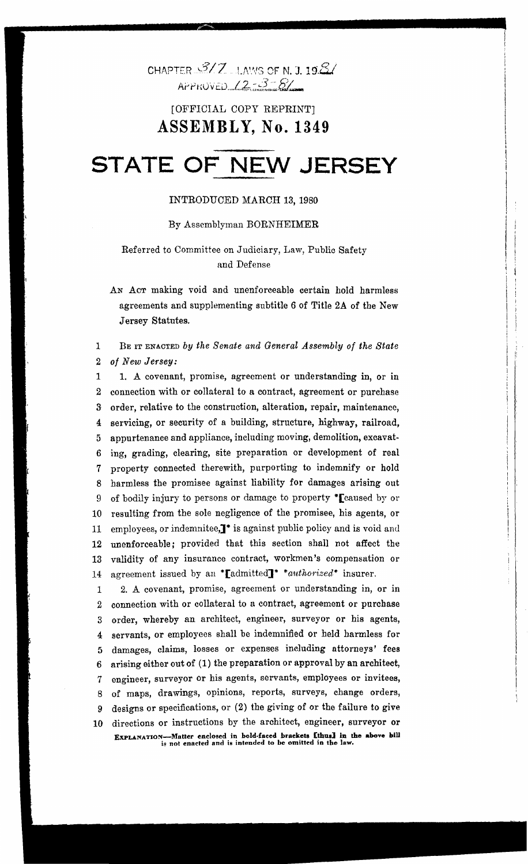CHAPTER  $3/7$  LAWS OF N. J. 19.8/  $A$ r Proved  $12 - 3 - 8/$ 

### [OFFICIAL COPY REPRINT] ASSEMBLY, No. 1349

# **STATE OF NEW JERSEY**

#### INTRODUCED MARCH 13, 1980

#### By Assemblyman BORNHEIMER

#### Referred to Committee on Judiciary, Law, Public Safety and Defense

AN ACT making void and unenforceable certain hold harmless agreements and supplementing subtitle 6 of Title 2A of the New Jersey Statutes.

#### 1 BE IT ENACTED *by the Senate and General Assembly of the State*  2 *of New Jersey:*

1 1. A covenant, promise, agreement or understanding in, or in 2 connection with or collateral to a contract, agreement or purchase 3 order, relative to the construction, alteration, repair, maintenance, 4 servicing, or security of a building, structure, highway, railroad, 5 appurtenance and appliance, including moving, demolition, excavat-6 ing, grading, clearing, site preparation or development of real 7 property connected therewith, purporting to indemnify or hold 8 harmless the promisee against liability for damages arising out 9 of bodily injury to persons or damage to property \*Teaused by or 10 resulting from the sole negligence of the promisee, his agents, or 11 employees, or indemnitee,  $\mathbf{I}^*$  is against public policy and is void and 12 unenforceable; provided that this section shall not affect the 13 validity of any insurance contract, workmen's compensation or 14 agreement issued by an \*ladmitted]<sup>\*</sup> \*authorized\* insurer.

1 2. A covenant, promise, agreement or understanding in, or in 2 connection with or collateral to a contract, agreement or purchase 3 order, whereby an architect, engineer, surveyor or his agents, 4 servants, or employees shall be indemnified or held harmless for 5 damages, claims, losses or expenses including attorneys' fees 6 arising either out of (1) the preparation or approval by an architect, 7 engineer, surveyor or his agents, servants, employees or invitees, 8 of maps, drawings, opinions, reports, surveys, change orders, 9 designs or specifications, or (2) the giving of or the failure to give 10 directions or instructions by the architect, engineer, surveyor or EXPLANATION—Matter enclosed in bold-faced brackets [thus] in the above bill is not enacted and is intended to be omitted in the law.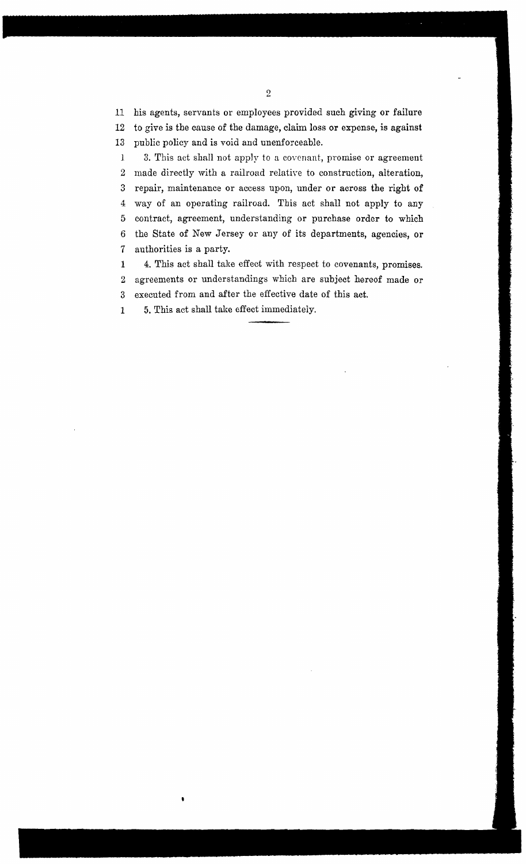11 his agents, servants or employees provided such giving or failure 12 to give is the cause of the damage, claim loss **or** expense, is against

13 public policy and is void and unenforceable. J 3. This act shall not apply to a covenant, promise or agreement 2 made directly with a railroad relative to construction, alteration, 3 repair, maintenance or access upon, under or across the right of 4 way of an operating railroad. This act shall not apply to any 5 contract, agreement, understanding or purchase order to which 6 the State of New Jersey or any of its departments, agencies, or 7 authorities is a party.

1 4. This act shall take effect with respect to covenants, promises. 2 agreements or understandings which are subject hereof made or 3 executed from and after the effective date of this act.

1 5. This act shall take effect immediately.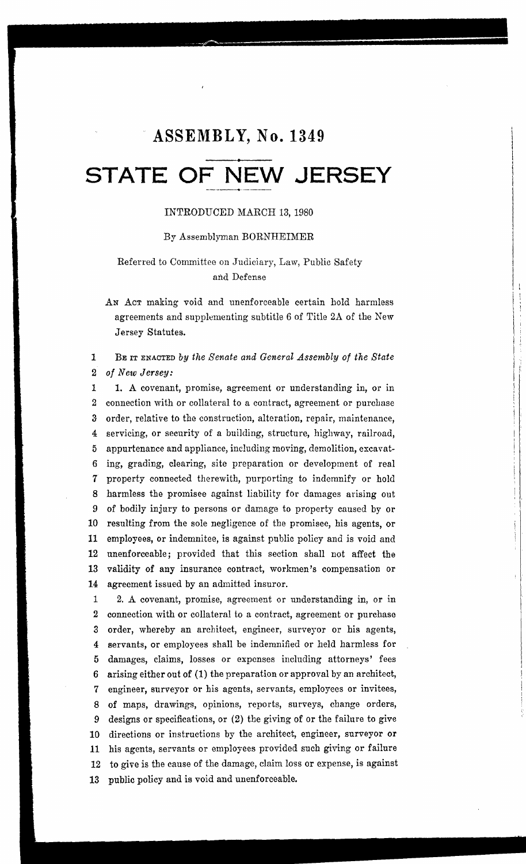## **ASSEMBLY, No. 1349**

## **• STATE OF NEW JERSEY**

#### INTRODUCED MARCH 13,1980

#### By Assemblyman BORNHEIMER

#### Referred to Committee on Judiciary, Law, Public Safety and Defense

AN ACT making void and unenforceable certain hold harmless agreements and supplementing subtitle 6 of Title 2A of the New Jersey Statutes.

#### 1 BE IT ENACTED by the Senate and General Assembly of the State 2 *of New Jersey:*

1 1. A covenant, promise, agreement or understanding in, or in 2 connection with or collateral to a contract, agreement or purchase 3- order, relative to the construction, alteration, repair, maintenance, 4 servicing, or security of a building, structure, highway, railroad, 5 appurtenance and appliance, including moving, demolition, excavat-6 ing, grading, clearing, site preparation or development of real 7 property connected therewith, purporting to indemnify or hold 8 harmless the promisee against liability for damages arising out 9 of bodily injury to persons or damage to property caused by or 10 resulting from the sole negligence of the promisee, his agents, or 11 employees, or indemnitee, is against public policy and is void and 12 unenforceable; provided that this section shall not affect the 13 validity of any insurance contract, workmen's compensation or 14 agreement issued by an admitted insuror.

1 2. A covenant, promise, agreement or understanding in, or in 2 connection with or collateral to a contract, agreement or purchase 3 order, whereby an architect, engineer, surveyor or his agents, 4 servants, or employees shall be indemnified or held harmless for 5 damages, claims, losses or expenses including attorneys' fees 6 arising either out of (1) the preparation or approval by an architect, 7 engineer, surveyor or his agents, servants, employees or invitees, 8 of maps, drawings, opinions, reports, surveys, change orders, 9 designs or specifications, or (2) the giving of or the failure to give 10 directions or instructions by the architect, engineer, surveyor or 11 his agents, servants or employees provided such giving or failure 12 to give is the cause of the damage, claim loss or expense, is against 13 public policy and is void and unenforceable.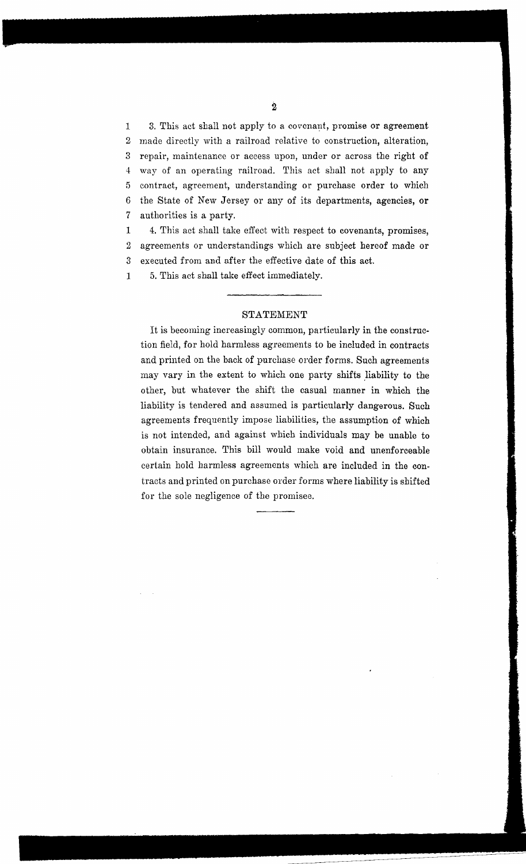1 3. This act shall not apply to a covenant, promise or agreement 2 made directly with a railroad relative to construction, alteration, 3 repair, maintenance or access upon, under or across the right of 4 way of an operating railroad. This act shall not apply to any 5 contract, agreement, understanding or purchase order to which 6 the State of New Jersey or any of its departments, agencies, or 7 authorities is a party.

1 4. This act shall take effect with respect to covenants, promises, 2 agreements or understandings which are subject hereof made or 3 executed from and after the effective date of this act.

1 5. This act shall take effect immediately.

#### STATEMENT

It is becoming increasingly common, particularly in the construction field, for hold harmless agreements to be included in contracts and printed on the back of purchase order forms. Such agreements may vary in the extent to which one party shifts liability to the other, but whatever the shift the casual manner in which the liability is tendered and assumed is particularly dangerous. Such agreements frequently impose liabilities, the assumption of which is not intended, and against which individuals may be unable to obtain insurance. This bill would make void and unenforceable certain hold harmless agreements which are included in the contracts and printed on purchase order forms where liability is shifted for the sole negligence of the promisee.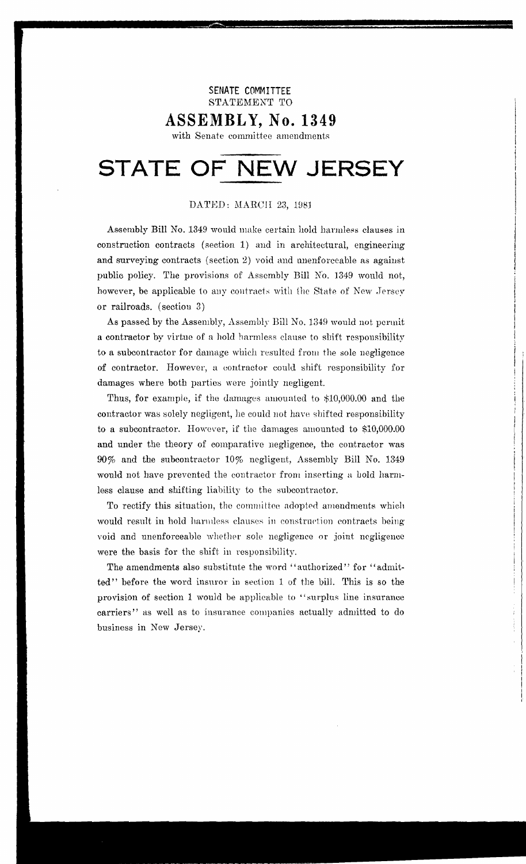#### SENATE COMMITTEE STATEMENT TO

## ASSEMBLY, No. 1349

with Senate committee amendments

## STATE OF NEW JERSEY

#### DATED: MARCH 23, 1981

Assembly Bill No. 1349 would make certain hold harmless clauses in construction contracts (section 1) and in architectural, engineering and surveying contracts (section 2) void and unenforceable as against public policy. The provisions of Assembly Bill No. 1349 would not, however, be applicable to any contracts with the State of New Jersey or railroads. (section 3)

As passed by the Assembly, Assembly Bill No. 1349 would not permit a contractor by virtue of a hold harmless clause to shift responsibility to a subcontractor for damage which resulted from the sole negligence of contractor. However, a contractor could shift responsibility for damages where both parties were jointly negligent.

Thus, for example, if the damages amounted to \$10,000.00 and the contractor was solely negligent, he could not have shifted responsibility to a subcontractor. However, if the damages amounted to \$10,000.00 and under the theory of comparative negligence, the contractor was 90% and the subcontractor 10% negligent, Assembly Bill No. 1349 would not have prevented the contractor from inserting a hold harmless clause and shifting liability to the subcontractor.

To rectify this situation, the committee adopted amendments which would result in hold harmless clauses in construction contracts being void and unenforceable whether sole negligence or joint negligence were the basis for the shift in responsibility.

The amendments also substitute the word "authorized" for "admitted" before the word insuror in section 1 of the bill. This is so the provision of section 1 would be applicable to "surplus line insurance carriers" as well as to insurance companies actually admitted to do business in New Jersey.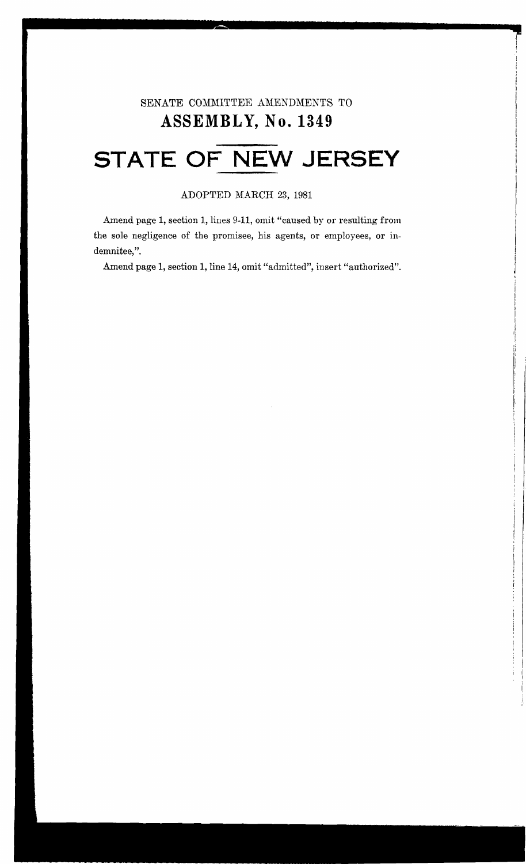## SENATE COMMITTEE AMENDMENTS TO **ASSEMBL Y, No. 1349**

i i I  $\mathbf{I}$ 

I I I i i

i I I

 $\overline{\phantom{a}}$ ! I

# **STATE OF NEW JERSEY**

#### ADOPTED MARCH 23, 1981

Amend page 1, section 1, lines 9-11, omit "caused by or resulting from the sole negligence of the promisee, his agents, or employees, or indemnitee,".

Amend page 1, section 1, line 14, omit "admitted", insert "authorized".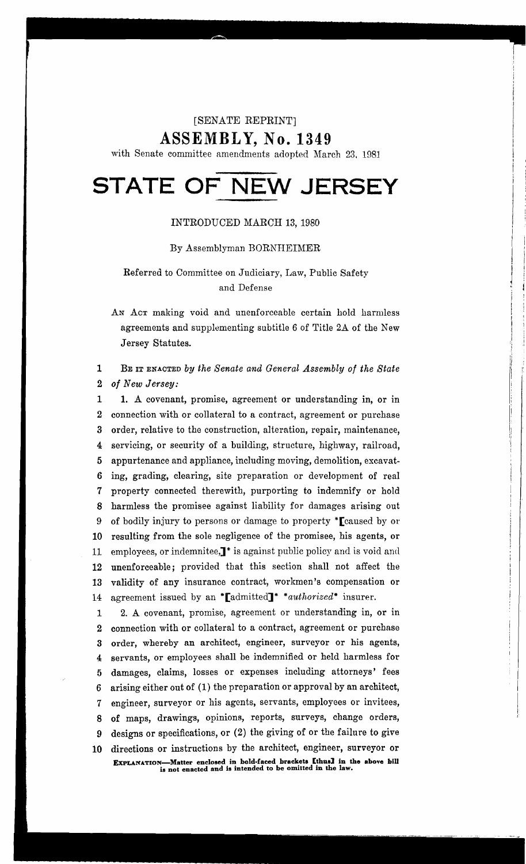#### [SENATE REPRINT]

ASSEMBLY, No. 1349

with Senate committee amendments adopted March 23. 1981

# **STATE OF NEW JERSEY**

#### INTRODUCED MARCH 13, 1980

#### By Assemblyman BORNHEIMER

#### Referred to Committee on Judiciary, Law, Public Safety and Defense

AN ACT making void and unenforceable certain hold harmless agreements and supplementing subtitle 6 of Title 2A of the New Jersey Statutes.

#### 1 BE IT ENACTED *by the Senate and General Assembly of the State 2 of New Jersey:*

1 1. A covenant, promise, agreement or understanding in, or in 2 connection with or collateral to a contract, agreement or purchase 3 order, relative to the construction, alteration, repair, maintenance, 4 servicing, or security of a building, structure, highway, railroad, 5 appurtenance and appliance, including moving, demolition, excavat-6 ing, grading, clearing, site preparation or development of real 7 property connected therewith, purporting to indemnify or hold 8 harmless the promisee against liability for damages arising out 9 of bodily injury to persons or damage to property \*[caused by or 10 resulting from the sole negligence of the promisee, his agents, or 11 employees, or indemnitee,<sup><sup>\*</sup></sup> is against public policy and is void and 12 unenforceable; provided that this section shall not affect the 13 validity of any insurance contract, workmen's compensation or 14 agreement issued by an \*'[admitted]\* *\*authorized\*'* insurer.

1 2. A covenant, promise, agreement or understanding in, or in 2 connection with or collateral to a contract, agreement or purchase 3 order, whereby an architect, engineer, surveyor or his agents, 4 servants, or employees shall be indemnified or held harmless for 5 damages, claims, losses or expenses including attorneys' fees 6 arising either out of (1) the preparation or approval by an architect, 7 engineer, surveyor or his agents, servants, employees or invitees, 8 of maps, drawings, opinions, reports, surveys, change orders, 9 designs or specifications, or (2) the giving of or the failure to give 10 directions or instructions by the architect, engineer, surveyor or EXPLANATION-Matter enclosed in bold-faced braekets [thus] in the above bill is not enaeted and is intended to be omitted in the law.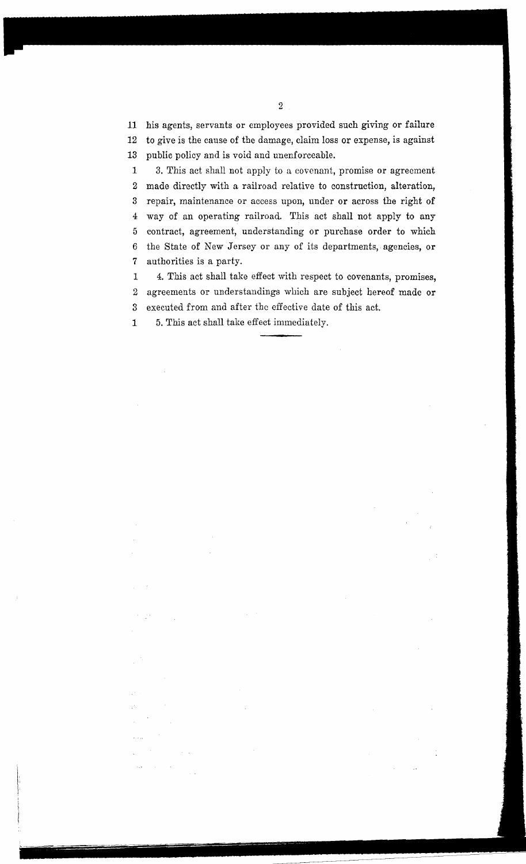11 his agents, servants or employees provided such giving or failure 12 to give is the cause of the damage, claim loss or expense, is against

13 public policy and is void and unenforceable.

1 3. This act shall not apply to a covonant, promise or agreement 2 made directly with a railroad relative to construction, alteration, 3 repair, maintenance or access upon, under or across the right of 4 way of an operating railroad. This act shall not apply to any 5 contract, agreement, understanding or purchase order to which 6 the State of New Jersey or any of its departments, agencies, or 7 authorities is a party.

1 4. This act shall take effect with respect to covenants, promises, 2 agreements or understandings which are subject hereof made or 3 executed from and after the effective date of this act.

J,

1 5. This act shall take effect immediately.

 $\sim$   $^{-1}$